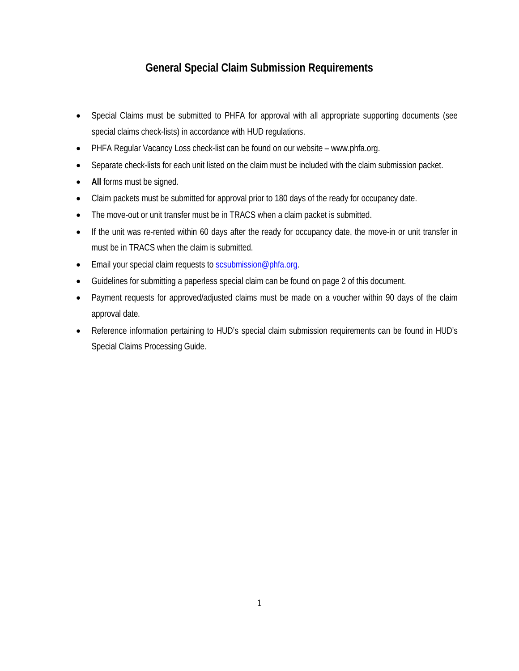## **General Special Claim Submission Requirements**

- Special Claims must be submitted to PHFA for approval with all appropriate supporting documents (see special claims check-lists) in accordance with HUD regulations.
- PHFA Regular Vacancy Loss check-list can be found on our website www.phfa.org.
- Separate check-lists for each unit listed on the claim must be included with the claim submission packet.
- **All** forms must be signed.
- Claim packets must be submitted for approval prior to 180 days of the ready for occupancy date.
- The move-out or unit transfer must be in TRACS when a claim packet is submitted.
- If the unit was re-rented within 60 days after the ready for occupancy date, the move-in or unit transfer in must be in TRACS when the claim is submitted.
- Email your special claim requests t[o scsubmission@phfa.org.](mailto:scsubmission@phfa.org)
- Guidelines for submitting a paperless special claim can be found on page 2 of this document.
- Payment requests for approved/adjusted claims must be made on a voucher within 90 days of the claim approval date.
- Reference information pertaining to HUD's special claim submission requirements can be found in HUD's Special Claims Processing Guide.